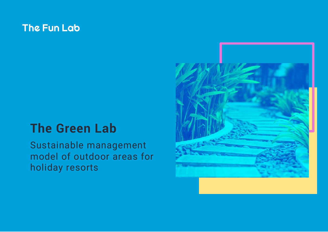### **The Fun Lab**

### **The Green Lab**

Sustainable management model of outdoor areas for holiday resorts

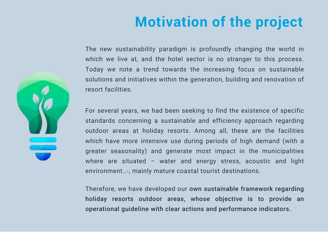# **Motivation of the project**

The new sustainability paradigm is profoundly changing the world in which we live at, and the hotel sector is no stranger to this process. Today we note a trend towards the increasing focus on sustainable solutions and initiatives within the generation, building and renovation of resort facilities.

For several years, we had been seeking to find the existence of specific standards concerning a sustainable and efficiency approach regarding outdoor areas at holiday resorts. Among all, these are the facilities which have more intensive use during periods of high demand (with a greater seasonality) and generate most impact in the municipalities where are situated – water and energy stress, acoustic and light environment…-, mainly mature coastal tourist destinations.

Therefore, we have developed our own sustainable framework regarding holiday resorts outdoor areas, whose objective is to provide an operational guideline with clear actions and performance indicators.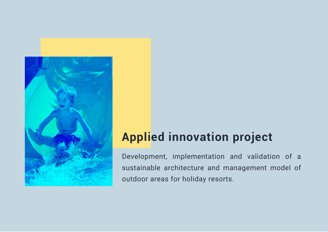

### **Applied innovation project**

Development, implementation and validation of a sustainable architecture and management model of outdoor areas for holiday resorts.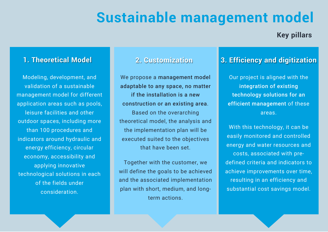### **Sustainable management model**

#### **Key pillars**

#### **1. Theoretical Model**

Modeling, development, and validation of a sustainable management model for different application areas such as pools, leisure facilities and other outdoor spaces, including more than 100 procedures and indicators around hydraulic and energy efficiency, circular economy, accessibility and applying innovative technological solutions in each of the fields under consideration.

#### **2. Customization**

We propose a management model adaptable to any space, no matter if the installation is a new construction or an existing area. Based on the overarching theoretical model, the analysis and the implementation plan will be executed suited to the objectives that have been set.

Together with the customer, we will define the goals to be achieved and the associated implementation plan with short, medium, and longterm actions.

#### **3. Efficiency and digitization**

Our project is aligned with the integration of existing technology solutions for an efficient management of these areas.

With this technology, it can be easily monitored and controlled energy and water resources and costs, associated with predefined criteria and indicators to achieve improvements over time, resulting in an efficiency and substantial cost savings model.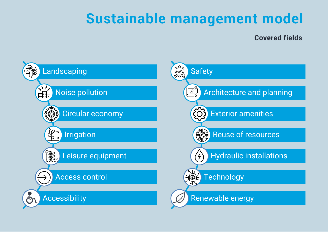## **Sustainable management model**

#### **Covered fields**

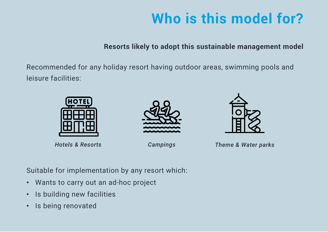# **Who is this model for?**

**Resorts likely to adopt this sustainable management model**

Recommended for any holiday resort having outdoor areas, swimming pools and leisure facilities:







*Hotels & Resorts Campings Theme & Water parks*

Suitable for implementation by any resort which:

- Wants to carry out an ad-hoc project
- Is building new facilities
- Is being renovated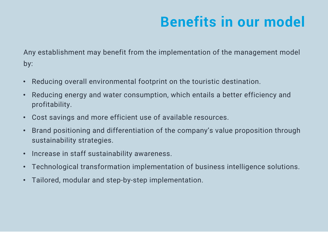## **Benefits in our model**

Any establishment may benefit from the implementation of the management model by:

- Reducing overall environmental footprint on the touristic destination.
- Reducing energy and water consumption, which entails a better efficiency and profitability.
- Cost savings and more efficient use of available resources.
- Brand positioning and differentiation of the company's value proposition through sustainability strategies.
- Increase in staff sustainability awareness.
- Technological transformation implementation of business intelligence solutions.
- Tailored, modular and step-by-step implementation.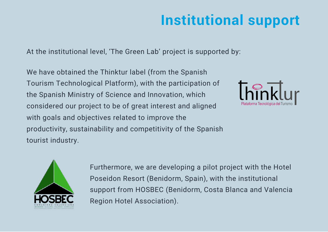# **Institutional support**

At the institutional level, 'The Green Lab' project is supported by:

We have obtained the Thinktur label (from the Spanish Tourism Technological Platform), with the participation of the Spanish Ministry of Science and Innovation, which considered our project to be of great interest and aligned with goals and objectives related to improve the productivity, sustainability and competitivity of the Spanish tourist industry.





Furthermore, we are developing a pilot project with the Hotel Poseidon Resort (Benidorm, Spain), with the institutional support from HOSBEC (Benidorm, Costa Blanca and Valencia Region Hotel Association).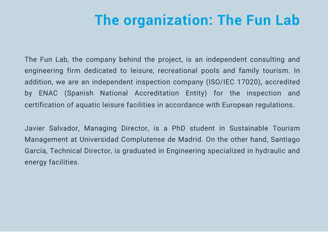### **The organization: The Fun Lab**

The Fun Lab, the company behind the project, is an independent consulting and engineering firm dedicated to leisure, recreational pools and family tourism. In addition, we are an independent inspection company (ISO/IEC 17020), accredited by ENAC (Spanish National Accreditation Entity) for the inspection and certification of aquatic leisure facilities in accordance with European regulations.

Javier Salvador, Managing Director, is a PhD student in Sustainable Tourism Management at Universidad Complutense de Madrid. On the other hand, Santiago García, Technical Director, is graduated in Engineering specialized in hydraulic and energy facilities.